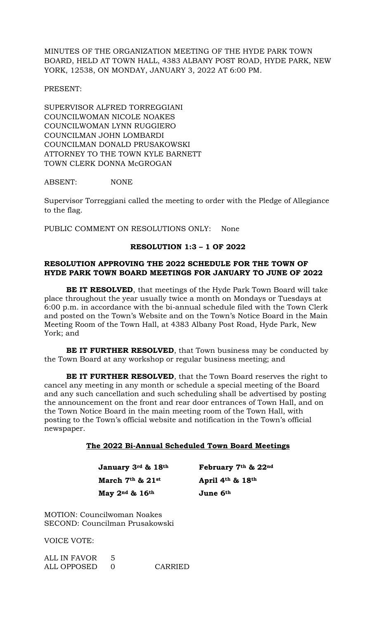MINUTES OF THE ORGANIZATION MEETING OF THE HYDE PARK TOWN BOARD, HELD AT TOWN HALL, 4383 ALBANY POST ROAD, HYDE PARK, NEW YORK, 12538, ON MONDAY, JANUARY 3, 2022 AT 6:00 PM.

PRESENT:

SUPERVISOR ALFRED TORREGGIANI COUNCILWOMAN NICOLE NOAKES COUNCILWOMAN LYNN RUGGIERO COUNCILMAN JOHN LOMBARDI COUNCILMAN DONALD PRUSAKOWSKI ATTORNEY TO THE TOWN KYLE BARNETT TOWN CLERK DONNA McGROGAN

ABSENT: NONE

Supervisor Torreggiani called the meeting to order with the Pledge of Allegiance to the flag.

PUBLIC COMMENT ON RESOLUTIONS ONLY: None

# **RESOLUTION 1:3 – 1 OF 2022**

# **RESOLUTION APPROVING THE 2022 SCHEDULE FOR THE TOWN OF HYDE PARK TOWN BOARD MEETINGS FOR JANUARY TO JUNE OF 2022**

**BE IT RESOLVED**, that meetings of the Hyde Park Town Board will take place throughout the year usually twice a month on Mondays or Tuesdays at 6:00 p.m. in accordance with the bi-annual schedule filed with the Town Clerk and posted on the Town's Website and on the Town's Notice Board in the Main Meeting Room of the Town Hall, at 4383 Albany Post Road, Hyde Park, New York; and

**BE IT FURTHER RESOLVED**, that Town business may be conducted by the Town Board at any workshop or regular business meeting; and

**BE IT FURTHER RESOLVED**, that the Town Board reserves the right to cancel any meeting in any month or schedule a special meeting of the Board and any such cancellation and such scheduling shall be advertised by posting the announcement on the front and rear door entrances of Town Hall, and on the Town Notice Board in the main meeting room of the Town Hall, with posting to the Town's official website and notification in the Town's official newspaper.

#### **The 2022 Bi-Annual Scheduled Town Board Meetings**

 **January 3rd & 18th February 7th & 22nd March 7th & 21st April 4th & 18th May 2nd & 16th June 6th**

MOTION: Councilwoman Noakes SECOND: Councilman Prusakowski

VOICE VOTE:

| ALL IN FAVOR |         |
|--------------|---------|
| ALL OPPOSED  | CARRIED |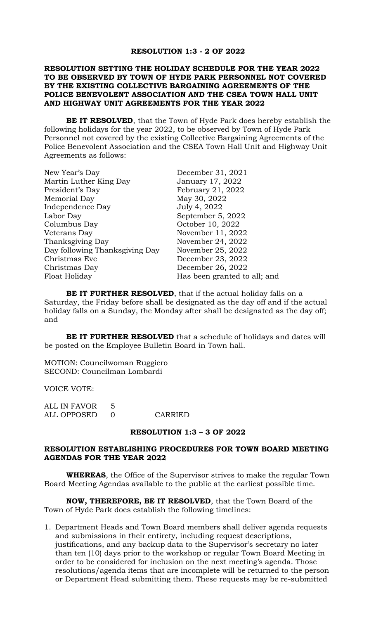#### **RESOLUTION 1:3 - 2 OF 2022**

# **RESOLUTION SETTING THE HOLIDAY SCHEDULE FOR THE YEAR 2022 TO BE OBSERVED BY TOWN OF HYDE PARK PERSONNEL NOT COVERED BY THE EXISTING COLLECTIVE BARGAINING AGREEMENTS OF THE POLICE BENEVOLENT ASSOCIATION AND THE CSEA TOWN HALL UNIT AND HIGHWAY UNIT AGREEMENTS FOR THE YEAR 2022**

**BE IT RESOLVED**, that the Town of Hyde Park does hereby establish the following holidays for the year 2022, to be observed by Town of Hyde Park Personnel not covered by the existing Collective Bargaining Agreements of the Police Benevolent Association and the CSEA Town Hall Unit and Highway Unit Agreements as follows:

| New Year's Day                 | December 31, 2021            |
|--------------------------------|------------------------------|
| Martin Luther King Day         | January 17, 2022             |
| President's Day                | February 21, 2022            |
| Memorial Day                   | May 30, 2022                 |
| Independence Day               | July 4, 2022                 |
| Labor Day                      | September 5, 2022            |
| Columbus Day                   | October 10, 2022             |
| Veterans Day                   | November 11, 2022            |
| Thanksgiving Day               | November 24, 2022            |
| Day following Thanksgiving Day | November 25, 2022            |
| Christmas Eve                  | December 23, 2022            |
| Christmas Day                  | December 26, 2022            |
| Float Holiday                  | Has been granted to all; and |

**BE IT FURTHER RESOLVED**, that if the actual holiday falls on a Saturday, the Friday before shall be designated as the day off and if the actual holiday falls on a Sunday, the Monday after shall be designated as the day off; and

**BE IT FURTHER RESOLVED** that a schedule of holidays and dates will be posted on the Employee Bulletin Board in Town hall.

MOTION: Councilwoman Ruggiero SECOND: Councilman Lombardi

VOICE VOTE:

| ALL IN FAVOR |         |
|--------------|---------|
| ALL OPPOSED  | CARRIED |

## **RESOLUTION 1:3 – 3 OF 2022**

# **RESOLUTION ESTABLISHING PROCEDURES FOR TOWN BOARD MEETING AGENDAS FOR THE YEAR 2022**

**WHEREAS**, the Office of the Supervisor strives to make the regular Town Board Meeting Agendas available to the public at the earliest possible time.

**NOW, THEREFORE, BE IT RESOLVED**, that the Town Board of the Town of Hyde Park does establish the following timelines:

1. Department Heads and Town Board members shall deliver agenda requests and submissions in their entirety, including request descriptions, justifications, and any backup data to the Supervisor's secretary no later than ten (10) days prior to the workshop or regular Town Board Meeting in order to be considered for inclusion on the next meeting's agenda. Those resolutions/agenda items that are incomplete will be returned to the person or Department Head submitting them. These requests may be re-submitted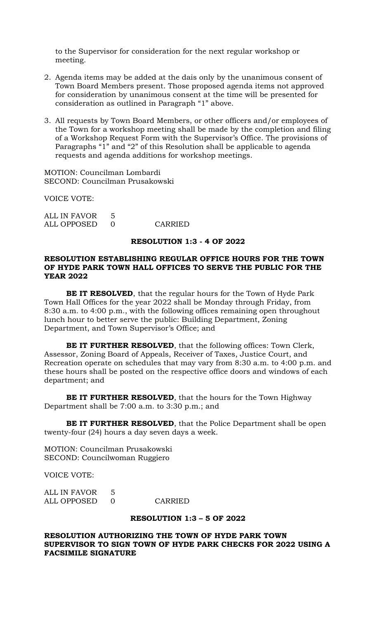to the Supervisor for consideration for the next regular workshop or meeting.

- 2. Agenda items may be added at the dais only by the unanimous consent of Town Board Members present. Those proposed agenda items not approved for consideration by unanimous consent at the time will be presented for consideration as outlined in Paragraph "1" above.
- 3. All requests by Town Board Members, or other officers and/or employees of the Town for a workshop meeting shall be made by the completion and filing of a Workshop Request Form with the Supervisor's Office. The provisions of Paragraphs "1" and "2" of this Resolution shall be applicable to agenda requests and agenda additions for workshop meetings.

MOTION: Councilman Lombardi SECOND: Councilman Prusakowski

VOICE VOTE:

ALL IN FAVOR 5 ALL OPPOSED 0 CARRIED

#### **RESOLUTION 1:3 - 4 OF 2022**

## **RESOLUTION ESTABLISHING REGULAR OFFICE HOURS FOR THE TOWN OF HYDE PARK TOWN HALL OFFICES TO SERVE THE PUBLIC FOR THE YEAR 2022**

**BE IT RESOLVED**, that the regular hours for the Town of Hyde Park Town Hall Offices for the year 2022 shall be Monday through Friday, from 8:30 a.m. to 4:00 p.m., with the following offices remaining open throughout lunch hour to better serve the public: Building Department, Zoning Department, and Town Supervisor's Office; and

**BE IT FURTHER RESOLVED**, that the following offices: Town Clerk, Assessor, Zoning Board of Appeals, Receiver of Taxes, Justice Court, and Recreation operate on schedules that may vary from 8:30 a.m. to 4:00 p.m. and these hours shall be posted on the respective office doors and windows of each department; and

**BE IT FURTHER RESOLVED**, that the hours for the Town Highway Department shall be 7:00 a.m. to 3:30 p.m.; and

**BE IT FURTHER RESOLVED**, that the Police Department shall be open twenty-four (24) hours a day seven days a week.

MOTION: Councilman Prusakowski SECOND: Councilwoman Ruggiero

VOICE VOTE:

| ALL IN FAVOR 5 |         |
|----------------|---------|
| ALL OPPOSED    | CARRIED |

#### **RESOLUTION 1:3 – 5 OF 2022**

**RESOLUTION AUTHORIZING THE TOWN OF HYDE PARK TOWN SUPERVISOR TO SIGN TOWN OF HYDE PARK CHECKS FOR 2022 USING A FACSIMILE SIGNATURE**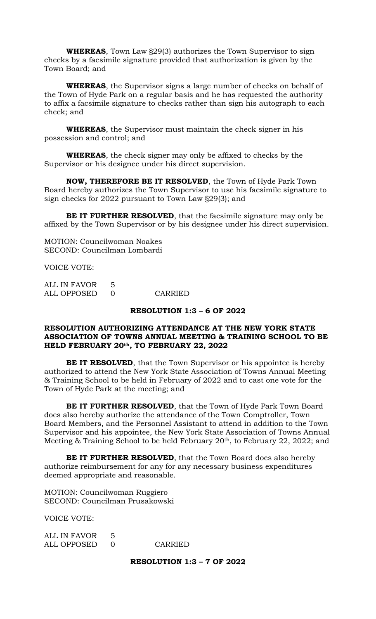**WHEREAS**, Town Law §29(3) authorizes the Town Supervisor to sign checks by a facsimile signature provided that authorization is given by the Town Board; and

**WHEREAS**, the Supervisor signs a large number of checks on behalf of the Town of Hyde Park on a regular basis and he has requested the authority to affix a facsimile signature to checks rather than sign his autograph to each check; and

**WHEREAS**, the Supervisor must maintain the check signer in his possession and control; and

**WHEREAS**, the check signer may only be affixed to checks by the Supervisor or his designee under his direct supervision.

**NOW, THEREFORE BE IT RESOLVED**, the Town of Hyde Park Town Board hereby authorizes the Town Supervisor to use his facsimile signature to sign checks for 2022 pursuant to Town Law §29(3); and

**BE IT FURTHER RESOLVED**, that the facsimile signature may only be affixed by the Town Supervisor or by his designee under his direct supervision.

MOTION: Councilwoman Noakes SECOND: Councilman Lombardi

VOICE VOTE:

| ALL IN FAVOR 5 |         |
|----------------|---------|
| ALL OPPOSED    | CARRIED |

#### **RESOLUTION 1:3 – 6 OF 2022**

## **RESOLUTION AUTHORIZING ATTENDANCE AT THE NEW YORK STATE ASSOCIATION OF TOWNS ANNUAL MEETING & TRAINING SCHOOL TO BE HELD FEBRUARY 20th, TO FEBRUARY 22, 2022**

**BE IT RESOLVED**, that the Town Supervisor or his appointee is hereby authorized to attend the New York State Association of Towns Annual Meeting & Training School to be held in February of 2022 and to cast one vote for the Town of Hyde Park at the meeting; and

**BE IT FURTHER RESOLVED**, that the Town of Hyde Park Town Board does also hereby authorize the attendance of the Town Comptroller, Town Board Members, and the Personnel Assistant to attend in addition to the Town Supervisor and his appointee, the New York State Association of Towns Annual Meeting & Training School to be held February 20<sup>th</sup>, to February 22, 2022; and

**BE IT FURTHER RESOLVED**, that the Town Board does also hereby authorize reimbursement for any for any necessary business expenditures deemed appropriate and reasonable.

MOTION: Councilwoman Ruggiero SECOND: Councilman Prusakowski

VOICE VOTE:

| ALL IN FAVOR |         |
|--------------|---------|
| ALL OPPOSED  | CARRIED |

**RESOLUTION 1:3 – 7 OF 2022**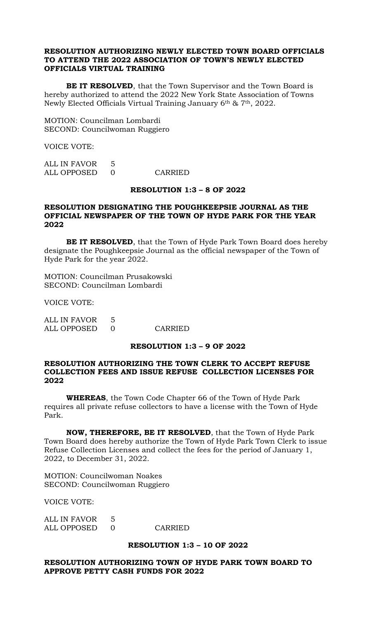# **RESOLUTION AUTHORIZING NEWLY ELECTED TOWN BOARD OFFICIALS TO ATTEND THE 2022 ASSOCIATION OF TOWN'S NEWLY ELECTED OFFICIALS VIRTUAL TRAINING**

**BE IT RESOLVED**, that the Town Supervisor and the Town Board is hereby authorized to attend the 2022 New York State Association of Towns Newly Elected Officials Virtual Training January 6th & 7th, 2022.

MOTION: Councilman Lombardi SECOND: Councilwoman Ruggiero

VOICE VOTE:

ALL IN FAVOR 5 ALL OPPOSED 0 CARRIED

#### **RESOLUTION 1:3 – 8 OF 2022**

# **RESOLUTION DESIGNATING THE POUGHKEEPSIE JOURNAL AS THE OFFICIAL NEWSPAPER OF THE TOWN OF HYDE PARK FOR THE YEAR 2022**

**BE IT RESOLVED**, that the Town of Hyde Park Town Board does hereby designate the Poughkeepsie Journal as the official newspaper of the Town of Hyde Park for the year 2022.

MOTION: Councilman Prusakowski SECOND: Councilman Lombardi

VOICE VOTE:

| <b>ALL IN FAVOR</b> | .5 |  |
|---------------------|----|--|
| ALL OPPOSED         |    |  |

**CARRIED** 

# **RESOLUTION 1:3 – 9 OF 2022**

# **RESOLUTION AUTHORIZING THE TOWN CLERK TO ACCEPT REFUSE COLLECTION FEES AND ISSUE REFUSE COLLECTION LICENSES FOR 2022**

**WHEREAS**, the Town Code Chapter 66 of the Town of Hyde Park requires all private refuse collectors to have a license with the Town of Hyde Park.

**NOW, THEREFORE, BE IT RESOLVED**, that the Town of Hyde Park Town Board does hereby authorize the Town of Hyde Park Town Clerk to issue Refuse Collection Licenses and collect the fees for the period of January 1, 2022, to December 31, 2022.

MOTION: Councilwoman Noakes SECOND: Councilwoman Ruggiero

VOICE VOTE:

| ALL IN FAVOR |         |
|--------------|---------|
| ALL OPPOSED  | CARRIED |

# **RESOLUTION 1:3 – 10 OF 2022**

# **RESOLUTION AUTHORIZING TOWN OF HYDE PARK TOWN BOARD TO APPROVE PETTY CASH FUNDS FOR 2022**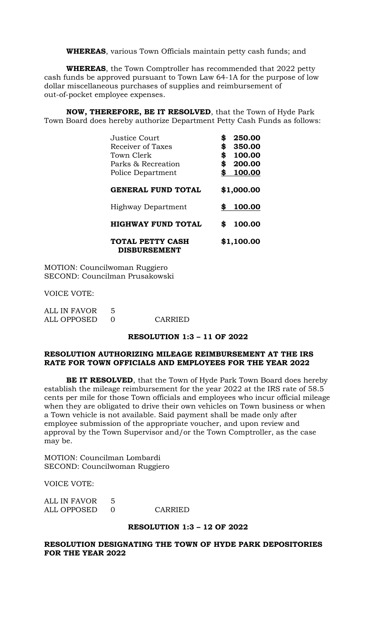**WHEREAS**, various Town Officials maintain petty cash funds; and

**WHEREAS**, the Town Comptroller has recommended that 2022 petty cash funds be approved pursuant to Town Law 64-1A for the purpose of low dollar miscellaneous purchases of supplies and reimbursement of out-of-pocket employee expenses.

**NOW, THEREFORE, BE IT RESOLVED**, that the Town of Hyde Park Town Board does hereby authorize Department Petty Cash Funds as follows:

| Justice Court<br>Receiver of Taxes<br>Town Clerk<br>Parks & Recreation<br>Police Department | \$<br>250.00<br>\$<br>350.00<br>\$<br>100.00<br>\$<br>200.00<br>\$<br>100.00 |
|---------------------------------------------------------------------------------------------|------------------------------------------------------------------------------|
| <b>GENERAL FUND TOTAL</b>                                                                   | \$1,000.00                                                                   |
| Highway Department                                                                          | 100.00<br>\$                                                                 |
| <b>HIGHWAY FUND TOTAL</b>                                                                   | 100.00<br>S                                                                  |
| <b>TOTAL PETTY CASH</b><br><b>DISBURSEMENT</b>                                              | \$1,100.00                                                                   |

MOTION: Councilwoman Ruggiero SECOND: Councilman Prusakowski

VOICE VOTE:

| ALL IN FAVOR |         |
|--------------|---------|
| ALL OPPOSED  | CARRIED |

# **RESOLUTION 1:3 – 11 OF 2022**

# **RESOLUTION AUTHORIZING MILEAGE REIMBURSEMENT AT THE IRS RATE FOR TOWN OFFICIALS AND EMPLOYEES FOR THE YEAR 2022**

**BE IT RESOLVED**, that the Town of Hyde Park Town Board does hereby establish the mileage reimbursement for the year 2022 at the IRS rate of 58.5 cents per mile for those Town officials and employees who incur official mileage when they are obligated to drive their own vehicles on Town business or when a Town vehicle is not available. Said payment shall be made only after employee submission of the appropriate voucher, and upon review and approval by the Town Supervisor and/or the Town Comptroller, as the case may be.

MOTION: Councilman Lombardi SECOND: Councilwoman Ruggiero

VOICE VOTE:

| ALL IN FAVOR |         |
|--------------|---------|
| ALL OPPOSED  | CARRIED |

#### **RESOLUTION 1:3 – 12 OF 2022**

# **RESOLUTION DESIGNATING THE TOWN OF HYDE PARK DEPOSITORIES FOR THE YEAR 2022**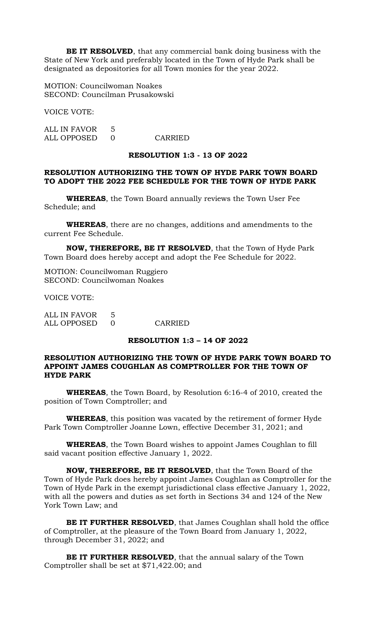**BE IT RESOLVED**, that any commercial bank doing business with the State of New York and preferably located in the Town of Hyde Park shall be designated as depositories for all Town monies for the year 2022.

MOTION: Councilwoman Noakes SECOND: Councilman Prusakowski

VOICE VOTE:

ALL IN FAVOR 5 ALL OPPOSED 0 CARRIED

#### **RESOLUTION 1:3 - 13 OF 2022**

# **RESOLUTION AUTHORIZING THE TOWN OF HYDE PARK TOWN BOARD TO ADOPT THE 2022 FEE SCHEDULE FOR THE TOWN OF HYDE PARK**

**WHEREAS**, the Town Board annually reviews the Town User Fee Schedule; and

**WHEREAS**, there are no changes, additions and amendments to the current Fee Schedule.

**NOW, THEREFORE, BE IT RESOLVED**, that the Town of Hyde Park Town Board does hereby accept and adopt the Fee Schedule for 2022.

MOTION: Councilwoman Ruggiero SECOND: Councilwoman Noakes

VOICE VOTE:

ALL IN FAVOR 5 ALL OPPOSED 0 CARRIED

# **RESOLUTION 1:3 – 14 OF 2022**

# **RESOLUTION AUTHORIZING THE TOWN OF HYDE PARK TOWN BOARD TO APPOINT JAMES COUGHLAN AS COMPTROLLER FOR THE TOWN OF HYDE PARK**

**WHEREAS**, the Town Board, by Resolution 6:16-4 of 2010, created the position of Town Comptroller; and

**WHEREAS**, this position was vacated by the retirement of former Hyde Park Town Comptroller Joanne Lown, effective December 31, 2021; and

**WHEREAS**, the Town Board wishes to appoint James Coughlan to fill said vacant position effective January 1, 2022.

**NOW, THEREFORE, BE IT RESOLVED**, that the Town Board of the Town of Hyde Park does hereby appoint James Coughlan as Comptroller for the Town of Hyde Park in the exempt jurisdictional class effective January 1, 2022, with all the powers and duties as set forth in Sections 34 and 124 of the New York Town Law; and

**BE IT FURTHER RESOLVED**, that James Coughlan shall hold the office of Comptroller, at the pleasure of the Town Board from January 1, 2022, through December 31, 2022; and

**BE IT FURTHER RESOLVED**, that the annual salary of the Town Comptroller shall be set at \$71,422.00; and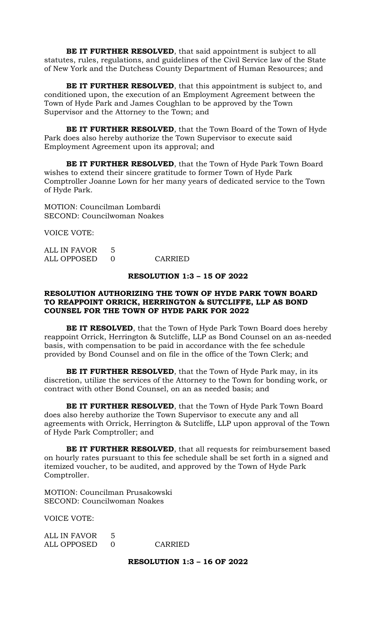**BE IT FURTHER RESOLVED**, that said appointment is subject to all statutes, rules, regulations, and guidelines of the Civil Service law of the State of New York and the Dutchess County Department of Human Resources; and

**BE IT FURTHER RESOLVED**, that this appointment is subject to, and conditioned upon, the execution of an Employment Agreement between the Town of Hyde Park and James Coughlan to be approved by the Town Supervisor and the Attorney to the Town; and

**BE IT FURTHER RESOLVED**, that the Town Board of the Town of Hyde Park does also hereby authorize the Town Supervisor to execute said Employment Agreement upon its approval; and

**BE IT FURTHER RESOLVED**, that the Town of Hyde Park Town Board wishes to extend their sincere gratitude to former Town of Hyde Park Comptroller Joanne Lown for her many years of dedicated service to the Town of Hyde Park.

MOTION: Councilman Lombardi SECOND: Councilwoman Noakes

VOICE VOTE:

| ALL IN FAVOR 5 |         |
|----------------|---------|
| ALL OPPOSED 0  | CARRIED |

# **RESOLUTION 1:3 – 15 OF 2022**

# **RESOLUTION AUTHORIZING THE TOWN OF HYDE PARK TOWN BOARD TO REAPPOINT ORRICK, HERRINGTON & SUTCLIFFE, LLP AS BOND COUNSEL FOR THE TOWN OF HYDE PARK FOR 2022**

**BE IT RESOLVED**, that the Town of Hyde Park Town Board does hereby reappoint Orrick, Herrington & Sutcliffe, LLP as Bond Counsel on an as-needed basis, with compensation to be paid in accordance with the fee schedule provided by Bond Counsel and on file in the office of the Town Clerk; and

**BE IT FURTHER RESOLVED**, that the Town of Hyde Park may, in its discretion, utilize the services of the Attorney to the Town for bonding work, or contract with other Bond Counsel, on an as needed basis; and

**BE IT FURTHER RESOLVED**, that the Town of Hyde Park Town Board does also hereby authorize the Town Supervisor to execute any and all agreements with Orrick, Herrington & Sutcliffe, LLP upon approval of the Town of Hyde Park Comptroller; and

**BE IT FURTHER RESOLVED**, that all requests for reimbursement based on hourly rates pursuant to this fee schedule shall be set forth in a signed and itemized voucher, to be audited, and approved by the Town of Hyde Park Comptroller.

MOTION: Councilman Prusakowski SECOND: Councilwoman Noakes

VOICE VOTE:

ALL IN FAVOR 5 ALL OPPOSED 0 CARRIED

**RESOLUTION 1:3 – 16 OF 2022**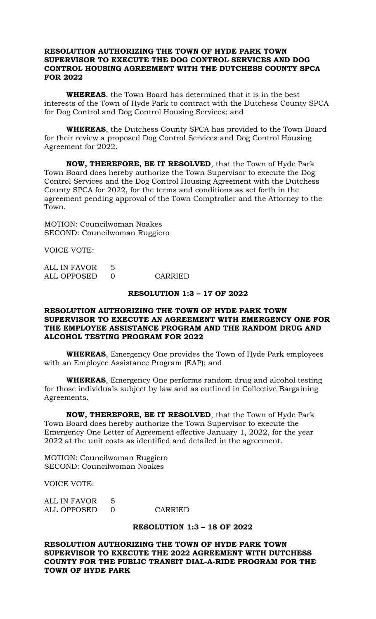## **RESOLUTION AUTHORIZING THE TOWN OF HYDE PARK TOWN SUPERVISOR TO EXECUTE THE DOG CONTROL SERVICES AND DOG CONTROL HOUSING AGREEMENT WITH THE DUTCHESS COUNTY SPCA FOR 2022**

**WHEREAS**, the Town Board has determined that it is in the best interests of the Town of Hyde Park to contract with the Dutchess County SPCA for Dog Control and Dog Control Housing Services; and

**WHEREAS**, the Dutchess County SPCA has provided to the Town Board for their review a proposed Dog Control Services and Dog Control Housing Agreement for 2022.

**NOW, THEREFORE, BE IT RESOLVED**, that the Town of Hyde Park Town Board does hereby authorize the Town Supervisor to execute the Dog Control Services and the Dog Control Housing Agreement with the Dutchess County SPCA for 2022, for the terms and conditions as set forth in the agreement pending approval of the Town Comptroller and the Attorney to the Town.

MOTION: Councilwoman Noakes SECOND: Councilwoman Ruggiero

VOICE VOTE:

| ALL IN FAVOR |         |
|--------------|---------|
| ALL OPPOSED  | CARRIED |

#### **RESOLUTION 1:3 – 17 OF 2022**

## **RESOLUTION AUTHORIZING THE TOWN OF HYDE PARK TOWN SUPERVISOR TO EXECUTE AN AGREEMENT WITH EMERGENCY ONE FOR THE EMPLOYEE ASSISTANCE PROGRAM AND THE RANDOM DRUG AND ALCOHOL TESTING PROGRAM FOR 2022**

**WHEREAS**, Emergency One provides the Town of Hyde Park employees with an Employee Assistance Program (EAP); and

**WHEREAS**, Emergency One performs random drug and alcohol testing for those individuals subject by law and as outlined in Collective Bargaining Agreements.

**NOW, THEREFORE, BE IT RESOLVED**, that the Town of Hyde Park Town Board does hereby authorize the Town Supervisor to execute the Emergency One Letter of Agreement effective January 1, 2022, for the year 2022 at the unit costs as identified and detailed in the agreement.

MOTION: Councilwoman Ruggiero SECOND: Councilwoman Noakes

VOICE VOTE:

| ALL IN FAVOR |         |
|--------------|---------|
| ALL OPPOSED  | CARRIED |

## **RESOLUTION 1:3 – 18 OF 2022**

**RESOLUTION AUTHORIZING THE TOWN OF HYDE PARK TOWN SUPERVISOR TO EXECUTE THE 2022 AGREEMENT WITH DUTCHESS COUNTY FOR THE PUBLIC TRANSIT DIAL-A-RIDE PROGRAM FOR THE TOWN OF HYDE PARK**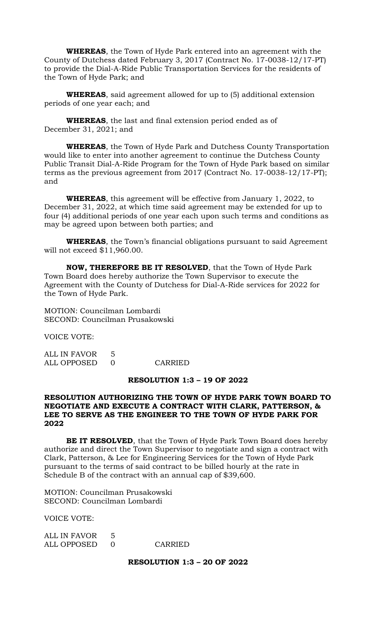**WHEREAS**, the Town of Hyde Park entered into an agreement with the County of Dutchess dated February 3, 2017 (Contract No. 17-0038-12/17-PT) to provide the Dial-A-Ride Public Transportation Services for the residents of the Town of Hyde Park; and

**WHEREAS**, said agreement allowed for up to (5) additional extension periods of one year each; and

**WHEREAS**, the last and final extension period ended as of December 31, 2021; and

**WHEREAS**, the Town of Hyde Park and Dutchess County Transportation would like to enter into another agreement to continue the Dutchess County Public Transit Dial-A-Ride Program for the Town of Hyde Park based on similar terms as the previous agreement from 2017 (Contract No. 17-0038-12/17-PT); and

**WHEREAS**, this agreement will be effective from January 1, 2022, to December 31, 2022, at which time said agreement may be extended for up to four (4) additional periods of one year each upon such terms and conditions as may be agreed upon between both parties; and

**WHEREAS**, the Town's financial obligations pursuant to said Agreement will not exceed \$11,960.00.

**NOW, THEREFORE BE IT RESOLVED**, that the Town of Hyde Park Town Board does hereby authorize the Town Supervisor to execute the Agreement with the County of Dutchess for Dial-A-Ride services for 2022 for the Town of Hyde Park.

MOTION: Councilman Lombardi SECOND: Councilman Prusakowski

VOICE VOTE:

ALL IN FAVOR 5 ALL OPPOSED 0 CARRIED

#### **RESOLUTION 1:3 – 19 OF 2022**

# **RESOLUTION AUTHORIZING THE TOWN OF HYDE PARK TOWN BOARD TO NEGOTIATE AND EXECUTE A CONTRACT WITH CLARK, PATTERSON, & LEE TO SERVE AS THE ENGINEER TO THE TOWN OF HYDE PARK FOR 2022**

**BE IT RESOLVED**, that the Town of Hyde Park Town Board does hereby authorize and direct the Town Supervisor to negotiate and sign a contract with Clark, Patterson, & Lee for Engineering Services for the Town of Hyde Park pursuant to the terms of said contract to be billed hourly at the rate in Schedule B of the contract with an annual cap of \$39,600.

MOTION: Councilman Prusakowski SECOND: Councilman Lombardi

VOICE VOTE:

| ALL IN FAVOR  |         |
|---------------|---------|
| ALL OPPOSED 0 | CARRIED |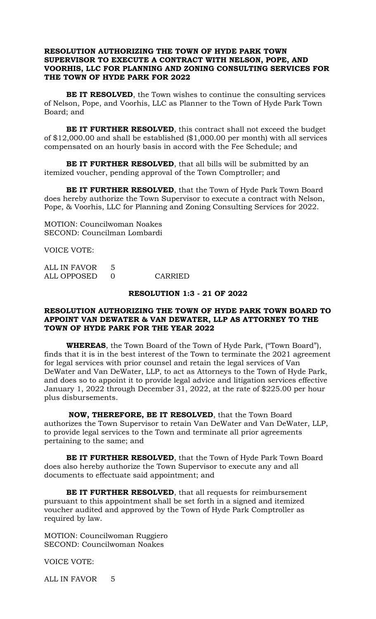# **RESOLUTION AUTHORIZING THE TOWN OF HYDE PARK TOWN SUPERVISOR TO EXECUTE A CONTRACT WITH NELSON, POPE, AND VOORHIS, LLC FOR PLANNING AND ZONING CONSULTING SERVICES FOR THE TOWN OF HYDE PARK FOR 2022**

**BE IT RESOLVED**, the Town wishes to continue the consulting services of Nelson, Pope, and Voorhis, LLC as Planner to the Town of Hyde Park Town Board; and

**BE IT FURTHER RESOLVED**, this contract shall not exceed the budget of \$12,000.00 and shall be established (\$1,000.00 per month) with all services compensated on an hourly basis in accord with the Fee Schedule; and

**BE IT FURTHER RESOLVED**, that all bills will be submitted by an itemized voucher, pending approval of the Town Comptroller; and

**BE IT FURTHER RESOLVED**, that the Town of Hyde Park Town Board does hereby authorize the Town Supervisor to execute a contract with Nelson, Pope, & Voorhis, LLC for Planning and Zoning Consulting Services for 2022.

MOTION: Councilwoman Noakes SECOND: Councilman Lombardi

VOICE VOTE:

| ALL IN FAVOR |         |
|--------------|---------|
| ALL OPPOSED  | CARRIED |

#### **RESOLUTION 1:3 - 21 OF 2022**

## **RESOLUTION AUTHORIZING THE TOWN OF HYDE PARK TOWN BOARD TO APPOINT VAN DEWATER & VAN DEWATER, LLP AS ATTORNEY TO THE TOWN OF HYDE PARK FOR THE YEAR 2022**

**WHEREAS**, the Town Board of the Town of Hyde Park, ("Town Board"), finds that it is in the best interest of the Town to terminate the 2021 agreement for legal services with prior counsel and retain the legal services of Van DeWater and Van DeWater, LLP, to act as Attorneys to the Town of Hyde Park, and does so to appoint it to provide legal advice and litigation services effective January 1, 2022 through December 31, 2022, at the rate of \$225.00 per hour plus disbursements.

**NOW, THEREFORE, BE IT RESOLVED**, that the Town Board authorizes the Town Supervisor to retain Van DeWater and Van DeWater, LLP, to provide legal services to the Town and terminate all prior agreements pertaining to the same; and

**BE IT FURTHER RESOLVED**, that the Town of Hyde Park Town Board does also hereby authorize the Town Supervisor to execute any and all documents to effectuate said appointment; and

**BE IT FURTHER RESOLVED**, that all requests for reimbursement pursuant to this appointment shall be set forth in a signed and itemized voucher audited and approved by the Town of Hyde Park Comptroller as required by law.

MOTION: Councilwoman Ruggiero SECOND: Councilwoman Noakes

VOICE VOTE:

ALL IN FAVOR 5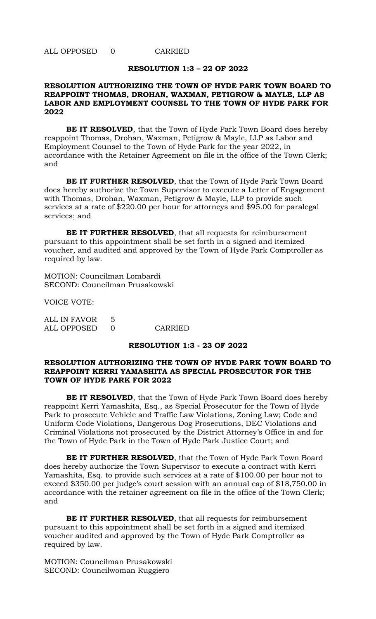ALL OPPOSED 0 CARRIED

#### **RESOLUTION 1:3 – 22 OF 2022**

# **RESOLUTION AUTHORIZING THE TOWN OF HYDE PARK TOWN BOARD TO REAPPOINT THOMAS, DROHAN, WAXMAN, PETIGROW & MAYLE, LLP AS LABOR AND EMPLOYMENT COUNSEL TO THE TOWN OF HYDE PARK FOR 2022**

**BE IT RESOLVED**, that the Town of Hyde Park Town Board does hereby reappoint Thomas, Drohan, Waxman, Petigrow & Mayle, LLP as Labor and Employment Counsel to the Town of Hyde Park for the year 2022, in accordance with the Retainer Agreement on file in the office of the Town Clerk; and

**BE IT FURTHER RESOLVED**, that the Town of Hyde Park Town Board does hereby authorize the Town Supervisor to execute a Letter of Engagement with Thomas, Drohan, Waxman, Petigrow & Mayle, LLP to provide such services at a rate of \$220.00 per hour for attorneys and \$95.00 for paralegal services; and

**BE IT FURTHER RESOLVED**, that all requests for reimbursement pursuant to this appointment shall be set forth in a signed and itemized voucher, and audited and approved by the Town of Hyde Park Comptroller as required by law.

MOTION: Councilman Lombardi SECOND: Councilman Prusakowski

VOICE VOTE:

| ALL IN FAVOR |         |
|--------------|---------|
| ALL OPPOSED  | CARRIED |

#### **RESOLUTION 1:3 - 23 OF 2022**

# **RESOLUTION AUTHORIZING THE TOWN OF HYDE PARK TOWN BOARD TO REAPPOINT KERRI YAMASHITA AS SPECIAL PROSECUTOR FOR THE TOWN OF HYDE PARK FOR 2022**

**BE IT RESOLVED**, that the Town of Hyde Park Town Board does hereby reappoint Kerri Yamashita, Esq., as Special Prosecutor for the Town of Hyde Park to prosecute Vehicle and Traffic Law Violations, Zoning Law; Code and Uniform Code Violations, Dangerous Dog Prosecutions, DEC Violations and Criminal Violations not prosecuted by the District Attorney's Office in and for the Town of Hyde Park in the Town of Hyde Park Justice Court; and

**BE IT FURTHER RESOLVED**, that the Town of Hyde Park Town Board does hereby authorize the Town Supervisor to execute a contract with Kerri Yamashita, Esq. to provide such services at a rate of \$100.00 per hour not to exceed \$350.00 per judge's court session with an annual cap of \$18,750.00 in accordance with the retainer agreement on file in the office of the Town Clerk; and

**BE IT FURTHER RESOLVED**, that all requests for reimbursement pursuant to this appointment shall be set forth in a signed and itemized voucher audited and approved by the Town of Hyde Park Comptroller as required by law.

MOTION: Councilman Prusakowski SECOND: Councilwoman Ruggiero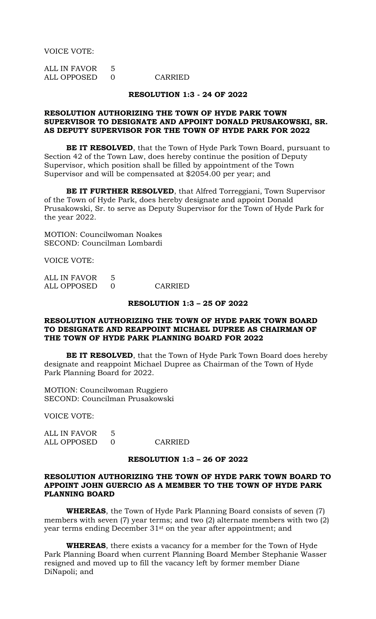VOICE VOTE:

ALL IN FAVOR 5 ALL OPPOSED 0 CARRIED

#### **RESOLUTION 1:3 - 24 OF 2022**

#### **RESOLUTION AUTHORIZING THE TOWN OF HYDE PARK TOWN SUPERVISOR TO DESIGNATE AND APPOINT DONALD PRUSAKOWSKI, SR. AS DEPUTY SUPERVISOR FOR THE TOWN OF HYDE PARK FOR 2022**

**BE IT RESOLVED**, that the Town of Hyde Park Town Board, pursuant to Section 42 of the Town Law, does hereby continue the position of Deputy Supervisor, which position shall be filled by appointment of the Town Supervisor and will be compensated at \$2054.00 per year; and

**BE IT FURTHER RESOLVED**, that Alfred Torreggiani, Town Supervisor of the Town of Hyde Park, does hereby designate and appoint Donald Prusakowski, Sr. to serve as Deputy Supervisor for the Town of Hyde Park for the year 2022.

MOTION: Councilwoman Noakes SECOND: Councilman Lombardi

VOICE VOTE:

| ALL IN FAVOR |         |
|--------------|---------|
| ALL OPPOSED  | CARRIED |

#### **RESOLUTION 1:3 – 25 OF 2022**

# **RESOLUTION AUTHORIZING THE TOWN OF HYDE PARK TOWN BOARD TO DESIGNATE AND REAPPOINT MICHAEL DUPREE AS CHAIRMAN OF THE TOWN OF HYDE PARK PLANNING BOARD FOR 2022**

**BE IT RESOLVED**, that the Town of Hyde Park Town Board does hereby designate and reappoint Michael Dupree as Chairman of the Town of Hyde Park Planning Board for 2022.

MOTION: Councilwoman Ruggiero SECOND: Councilman Prusakowski

VOICE VOTE:

ALL IN FAVOR 5 ALL OPPOSED 0 CARRIED

#### **RESOLUTION 1:3 – 26 OF 2022**

## **RESOLUTION AUTHORIZING THE TOWN OF HYDE PARK TOWN BOARD TO APPOINT JOHN GUERCIO AS A MEMBER TO THE TOWN OF HYDE PARK PLANNING BOARD**

**WHEREAS**, the Town of Hyde Park Planning Board consists of seven (7) members with seven (7) year terms; and two (2) alternate members with two (2) year terms ending December 31st on the year after appointment; and

**WHEREAS**, there exists a vacancy for a member for the Town of Hyde Park Planning Board when current Planning Board Member Stephanie Wasser resigned and moved up to fill the vacancy left by former member Diane DiNapoli; and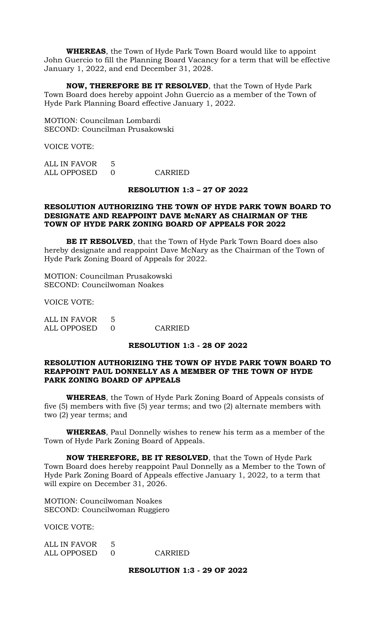**WHEREAS**, the Town of Hyde Park Town Board would like to appoint John Guercio to fill the Planning Board Vacancy for a term that will be effective January 1, 2022, and end December 31, 2028.

**NOW, THEREFORE BE IT RESOLVED**, that the Town of Hyde Park Town Board does hereby appoint John Guercio as a member of the Town of Hyde Park Planning Board effective January 1, 2022.

MOTION: Councilman Lombardi SECOND: Councilman Prusakowski

VOICE VOTE:

ALL IN FAVOR 5 ALL OPPOSED 0 CARRIED

#### **RESOLUTION 1:3 – 27 OF 2022**

# **RESOLUTION AUTHORIZING THE TOWN OF HYDE PARK TOWN BOARD TO DESIGNATE AND REAPPOINT DAVE McNARY AS CHAIRMAN OF THE TOWN OF HYDE PARK ZONING BOARD OF APPEALS FOR 2022**

**BE IT RESOLVED**, that the Town of Hyde Park Town Board does also hereby designate and reappoint Dave McNary as the Chairman of the Town of Hyde Park Zoning Board of Appeals for 2022.

MOTION: Councilman Prusakowski SECOND: Councilwoman Noakes

VOICE VOTE:

| ALL IN FAVOR |         |
|--------------|---------|
| ALL OPPOSED  | CARRIED |

#### **RESOLUTION 1:3 - 28 OF 2022**

# **RESOLUTION AUTHORIZING THE TOWN OF HYDE PARK TOWN BOARD TO REAPPOINT PAUL DONNELLY AS A MEMBER OF THE TOWN OF HYDE PARK ZONING BOARD OF APPEALS**

**WHEREAS**, the Town of Hyde Park Zoning Board of Appeals consists of five (5) members with five (5) year terms; and two (2) alternate members with two (2) year terms; and

**WHEREAS**, Paul Donnelly wishes to renew his term as a member of the Town of Hyde Park Zoning Board of Appeals.

**NOW THEREFORE, BE IT RESOLVED**, that the Town of Hyde Park Town Board does hereby reappoint Paul Donnelly as a Member to the Town of Hyde Park Zoning Board of Appeals effective January 1, 2022, to a term that will expire on December 31, 2026.

MOTION: Councilwoman Noakes SECOND: Councilwoman Ruggiero

VOICE VOTE:

| ALL IN FAVOR |         |
|--------------|---------|
| ALL OPPOSED  | CARRIED |

## **RESOLUTION 1:3 - 29 OF 2022**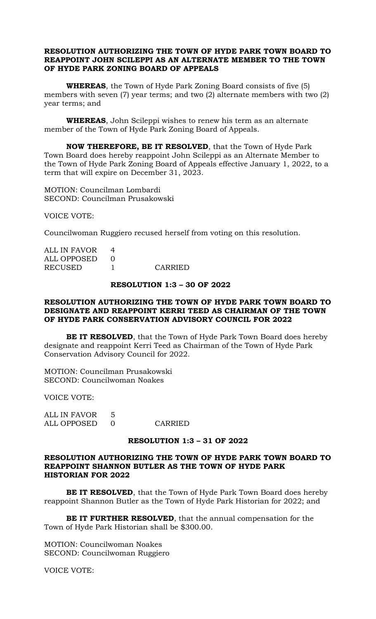# **RESOLUTION AUTHORIZING THE TOWN OF HYDE PARK TOWN BOARD TO REAPPOINT JOHN SCILEPPI AS AN ALTERNATE MEMBER TO THE TOWN OF HYDE PARK ZONING BOARD OF APPEALS**

**WHEREAS**, the Town of Hyde Park Zoning Board consists of five (5) members with seven (7) year terms; and two (2) alternate members with two (2) year terms; and

**WHEREAS**, John Scileppi wishes to renew his term as an alternate member of the Town of Hyde Park Zoning Board of Appeals.

**NOW THEREFORE, BE IT RESOLVED**, that the Town of Hyde Park Town Board does hereby reappoint John Scileppi as an Alternate Member to the Town of Hyde Park Zoning Board of Appeals effective January 1, 2022, to a term that will expire on December 31, 2023.

MOTION: Councilman Lombardi SECOND: Councilman Prusakowski

VOICE VOTE:

Councilwoman Ruggiero recused herself from voting on this resolution.

| ALL IN FAVOR |         |
|--------------|---------|
| ALL OPPOSED  |         |
| RECUSED      | CARRIED |

#### **RESOLUTION 1:3 – 30 OF 2022**

## **RESOLUTION AUTHORIZING THE TOWN OF HYDE PARK TOWN BOARD TO DESIGNATE AND REAPPOINT KERRI TEED AS CHAIRMAN OF THE TOWN OF HYDE PARK CONSERVATION ADVISORY COUNCIL FOR 2022**

**BE IT RESOLVED**, that the Town of Hyde Park Town Board does hereby designate and reappoint Kerri Teed as Chairman of the Town of Hyde Park Conservation Advisory Council for 2022.

MOTION: Councilman Prusakowski SECOND: Councilwoman Noakes

VOICE VOTE:

ALL IN FAVOR 5 ALL OPPOSED 0 CARRIED

# **RESOLUTION 1:3 – 31 OF 2022**

# **RESOLUTION AUTHORIZING THE TOWN OF HYDE PARK TOWN BOARD TO REAPPOINT SHANNON BUTLER AS THE TOWN OF HYDE PARK HISTORIAN FOR 2022**

**BE IT RESOLVED**, that the Town of Hyde Park Town Board does hereby reappoint Shannon Butler as the Town of Hyde Park Historian for 2022; and

**BE IT FURTHER RESOLVED**, that the annual compensation for the Town of Hyde Park Historian shall be \$300.00.

MOTION: Councilwoman Noakes SECOND: Councilwoman Ruggiero

VOICE VOTE: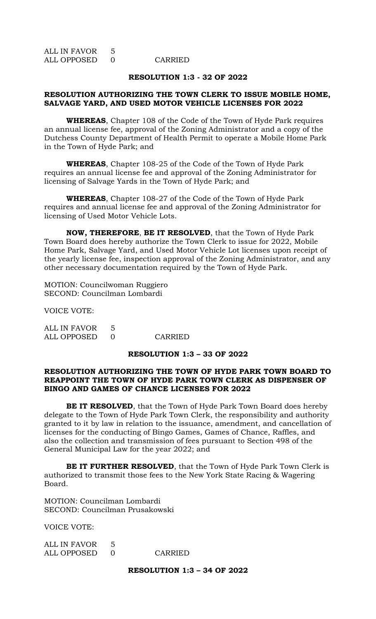ALL IN FAVOR 5 ALL OPPOSED 0 CARRIED

#### **RESOLUTION 1:3 - 32 OF 2022**

## **RESOLUTION AUTHORIZING THE TOWN CLERK TO ISSUE MOBILE HOME, SALVAGE YARD, AND USED MOTOR VEHICLE LICENSES FOR 2022**

**WHEREAS**, Chapter 108 of the Code of the Town of Hyde Park requires an annual license fee, approval of the Zoning Administrator and a copy of the Dutchess County Department of Health Permit to operate a Mobile Home Park in the Town of Hyde Park; and

**WHEREAS**, Chapter 108-25 of the Code of the Town of Hyde Park requires an annual license fee and approval of the Zoning Administrator for licensing of Salvage Yards in the Town of Hyde Park; and

**WHEREAS**, Chapter 108-27 of the Code of the Town of Hyde Park requires and annual license fee and approval of the Zoning Administrator for licensing of Used Motor Vehicle Lots.

**NOW, THEREFORE**, **BE IT RESOLVED**, that the Town of Hyde Park Town Board does hereby authorize the Town Clerk to issue for 2022, Mobile Home Park, Salvage Yard, and Used Motor Vehicle Lot licenses upon receipt of the yearly license fee, inspection approval of the Zoning Administrator, and any other necessary documentation required by the Town of Hyde Park.

MOTION: Councilwoman Ruggiero SECOND: Councilman Lombardi

VOICE VOTE:

ALL IN FAVOR 5 ALL OPPOSED 0 CARRIED

## **RESOLUTION 1:3 – 33 OF 2022**

#### **RESOLUTION AUTHORIZING THE TOWN OF HYDE PARK TOWN BOARD TO REAPPOINT THE TOWN OF HYDE PARK TOWN CLERK AS DISPENSER OF BINGO AND GAMES OF CHANCE LICENSES FOR 2022**

**BE IT RESOLVED**, that the Town of Hyde Park Town Board does hereby delegate to the Town of Hyde Park Town Clerk, the responsibility and authority granted to it by law in relation to the issuance, amendment, and cancellation of licenses for the conducting of Bingo Games, Games of Chance, Raffles, and also the collection and transmission of fees pursuant to Section 498 of the General Municipal Law for the year 2022; and

**BE IT FURTHER RESOLVED**, that the Town of Hyde Park Town Clerk is authorized to transmit those fees to the New York State Racing & Wagering Board.

MOTION: Councilman Lombardi SECOND: Councilman Prusakowski

VOICE VOTE:

| ALL IN FAVOR |         |
|--------------|---------|
| ALL OPPOSED  | CARRIED |

# **RESOLUTION 1:3 – 34 OF 2022**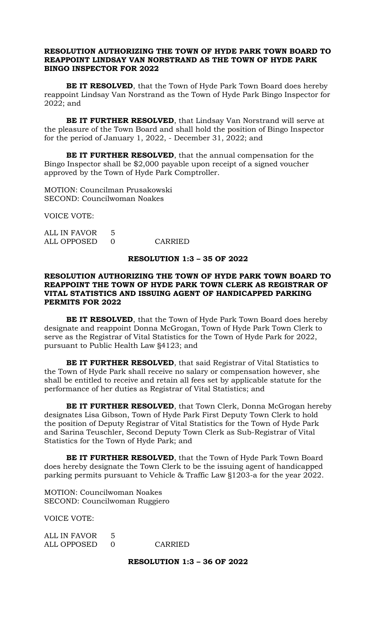# **RESOLUTION AUTHORIZING THE TOWN OF HYDE PARK TOWN BOARD TO REAPPOINT LINDSAY VAN NORSTRAND AS THE TOWN OF HYDE PARK BINGO INSPECTOR FOR 2022**

**BE IT RESOLVED**, that the Town of Hyde Park Town Board does hereby reappoint Lindsay Van Norstrand as the Town of Hyde Park Bingo Inspector for 2022; and

**BE IT FURTHER RESOLVED**, that Lindsay Van Norstrand will serve at the pleasure of the Town Board and shall hold the position of Bingo Inspector for the period of January 1, 2022, - December 31, 2022; and

**BE IT FURTHER RESOLVED**, that the annual compensation for the Bingo Inspector shall be \$2,000 payable upon receipt of a signed voucher approved by the Town of Hyde Park Comptroller.

MOTION: Councilman Prusakowski SECOND: Councilwoman Noakes

VOICE VOTE:

ALL IN FAVOR 5 ALL OPPOSED 0 CARRIED

## **RESOLUTION 1:3 – 35 OF 2022**

# **RESOLUTION AUTHORIZING THE TOWN OF HYDE PARK TOWN BOARD TO REAPPOINT THE TOWN OF HYDE PARK TOWN CLERK AS REGISTRAR OF VITAL STATISTICS AND ISSUING AGENT OF HANDICAPPED PARKING PERMITS FOR 2022**

**BE IT RESOLVED**, that the Town of Hyde Park Town Board does hereby designate and reappoint Donna McGrogan, Town of Hyde Park Town Clerk to serve as the Registrar of Vital Statistics for the Town of Hyde Park for 2022, pursuant to Public Health Law §4123; and

**BE IT FURTHER RESOLVED**, that said Registrar of Vital Statistics to the Town of Hyde Park shall receive no salary or compensation however, she shall be entitled to receive and retain all fees set by applicable statute for the performance of her duties as Registrar of Vital Statistics; and

**BE IT FURTHER RESOLVED**, that Town Clerk, Donna McGrogan hereby designates Lisa Gibson, Town of Hyde Park First Deputy Town Clerk to hold the position of Deputy Registrar of Vital Statistics for the Town of Hyde Park and Sarina Teuschler, Second Deputy Town Clerk as Sub-Registrar of Vital Statistics for the Town of Hyde Park; and

**BE IT FURTHER RESOLVED**, that the Town of Hyde Park Town Board does hereby designate the Town Clerk to be the issuing agent of handicapped parking permits pursuant to Vehicle & Traffic Law §1203-a for the year 2022.

MOTION: Councilwoman Noakes SECOND: Councilwoman Ruggiero

VOICE VOTE:

| ALL IN FAVOR |         |
|--------------|---------|
| ALL OPPOSED  | CARRIED |

**RESOLUTION 1:3 – 36 OF 2022**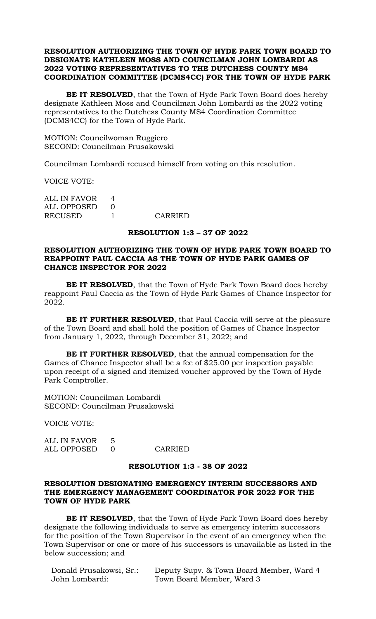# **RESOLUTION AUTHORIZING THE TOWN OF HYDE PARK TOWN BOARD TO DESIGNATE KATHLEEN MOSS AND COUNCILMAN JOHN LOMBARDI AS 2022 VOTING REPRESENTATIVES TO THE DUTCHESS COUNTY MS4 COORDINATION COMMITTEE (DCMS4CC) FOR THE TOWN OF HYDE PARK**

**BE IT RESOLVED**, that the Town of Hyde Park Town Board does hereby designate Kathleen Moss and Councilman John Lombardi as the 2022 voting representatives to the Dutchess County MS4 Coordination Committee (DCMS4CC) for the Town of Hyde Park.

MOTION: Councilwoman Ruggiero SECOND: Councilman Prusakowski

Councilman Lombardi recused himself from voting on this resolution.

VOICE VOTE:

| ALL IN FAVOR |         |
|--------------|---------|
| ALL OPPOSED  |         |
| RECUSED      | CARRIED |

#### **RESOLUTION 1:3 – 37 OF 2022**

# **RESOLUTION AUTHORIZING THE TOWN OF HYDE PARK TOWN BOARD TO REAPPOINT PAUL CACCIA AS THE TOWN OF HYDE PARK GAMES OF CHANCE INSPECTOR FOR 2022**

**BE IT RESOLVED**, that the Town of Hyde Park Town Board does hereby reappoint Paul Caccia as the Town of Hyde Park Games of Chance Inspector for 2022.

**BE IT FURTHER RESOLVED**, that Paul Caccia will serve at the pleasure of the Town Board and shall hold the position of Games of Chance Inspector from January 1, 2022, through December 31, 2022; and

**BE IT FURTHER RESOLVED**, that the annual compensation for the Games of Chance Inspector shall be a fee of \$25.00 per inspection payable upon receipt of a signed and itemized voucher approved by the Town of Hyde Park Comptroller.

MOTION: Councilman Lombardi SECOND: Councilman Prusakowski

VOICE VOTE:

| ALL IN FAVOR  |         |
|---------------|---------|
| ALL OPPOSED 0 | CARRIED |

#### **RESOLUTION 1:3 - 38 OF 2022**

# **RESOLUTION DESIGNATING EMERGENCY INTERIM SUCCESSORS AND THE EMERGENCY MANAGEMENT COORDINATOR FOR 2022 FOR THE TOWN OF HYDE PARK**

**BE IT RESOLVED**, that the Town of Hyde Park Town Board does hereby designate the following individuals to serve as emergency interim successors for the position of the Town Supervisor in the event of an emergency when the Town Supervisor or one or more of his successors is unavailable as listed in the below succession; and

| Donald Prusakowsi, Sr.: | Deputy Supv. & Town Board Member, Ward 4 |
|-------------------------|------------------------------------------|
| John Lombardi:          | Town Board Member, Ward 3                |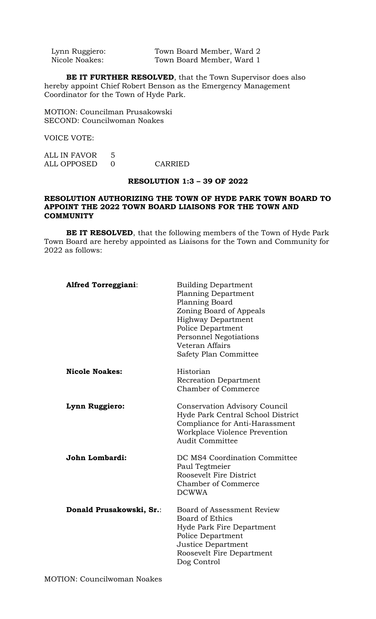| Lynn Ruggiero: | Town Board Member, Ward 2 |
|----------------|---------------------------|
| Nicole Noakes: | Town Board Member, Ward 1 |

**BE IT FURTHER RESOLVED**, that the Town Supervisor does also hereby appoint Chief Robert Benson as the Emergency Management Coordinator for the Town of Hyde Park.

MOTION: Councilman Prusakowski SECOND: Councilwoman Noakes

VOICE VOTE:

| ALL IN FAVOR |         |
|--------------|---------|
| ALL OPPOSED  | CARRIED |

## **RESOLUTION 1:3 – 39 OF 2022**

## **RESOLUTION AUTHORIZING THE TOWN OF HYDE PARK TOWN BOARD TO APPOINT THE 2022 TOWN BOARD LIAISONS FOR THE TOWN AND COMMUNITY**

**BE IT RESOLVED**, that the following members of the Town of Hyde Park Town Board are hereby appointed as Liaisons for the Town and Community for 2022 as follows:

| <b>Alfred Torreggiani:</b> | <b>Building Department</b><br><b>Planning Department</b><br>Planning Board<br>Zoning Board of Appeals<br><b>Highway Department</b><br><b>Police Department</b><br>Personnel Negotiations<br>Veteran Affairs<br>Safety Plan Committee |
|----------------------------|--------------------------------------------------------------------------------------------------------------------------------------------------------------------------------------------------------------------------------------|
| <b>Nicole Noakes:</b>      | Historian<br><b>Recreation Department</b><br><b>Chamber of Commerce</b>                                                                                                                                                              |
| Lynn Ruggiero:             | Conservation Advisory Council<br>Hyde Park Central School District<br>Compliance for Anti-Harassment<br>Workplace Violence Prevention<br><b>Audit Committee</b>                                                                      |
| John Lombardi:             | DC MS4 Coordination Committee<br>Paul Tegtmeier<br>Roosevelt Fire District<br><b>Chamber of Commerce</b><br><b>DCWWA</b>                                                                                                             |
| Donald Prusakowski, Sr.:   | Board of Assessment Review<br>Board of Ethics<br>Hyde Park Fire Department<br>Police Department<br>Justice Department<br>Roosevelt Fire Department<br>Dog Control                                                                    |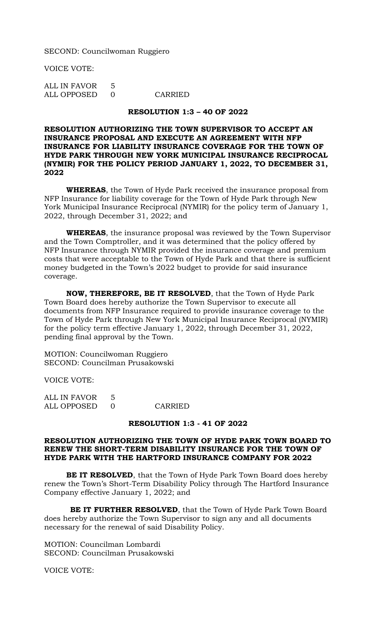SECOND: Councilwoman Ruggiero

VOICE VOTE:

ALL IN FAVOR 5 ALL OPPOSED 0 CARRIED

#### **RESOLUTION 1:3 – 40 OF 2022**

# **RESOLUTION AUTHORIZING THE TOWN SUPERVISOR TO ACCEPT AN INSURANCE PROPOSAL AND EXECUTE AN AGREEMENT WITH NFP INSURANCE FOR LIABILITY INSURANCE COVERAGE FOR THE TOWN OF HYDE PARK THROUGH NEW YORK MUNICIPAL INSURANCE RECIPROCAL (NYMIR) FOR THE POLICY PERIOD JANUARY 1, 2022, TO DECEMBER 31, 2022**

**WHEREAS**, the Town of Hyde Park received the insurance proposal from NFP Insurance for liability coverage for the Town of Hyde Park through New York Municipal Insurance Reciprocal (NYMIR) for the policy term of January 1, 2022, through December 31, 2022; and

**WHEREAS**, the insurance proposal was reviewed by the Town Supervisor and the Town Comptroller, and it was determined that the policy offered by NFP Insurance through NYMIR provided the insurance coverage and premium costs that were acceptable to the Town of Hyde Park and that there is sufficient money budgeted in the Town's 2022 budget to provide for said insurance coverage.

**NOW, THEREFORE, BE IT RESOLVED**, that the Town of Hyde Park Town Board does hereby authorize the Town Supervisor to execute all documents from NFP Insurance required to provide insurance coverage to the Town of Hyde Park through New York Municipal Insurance Reciprocal (NYMIR) for the policy term effective January 1, 2022, through December 31, 2022, pending final approval by the Town.

MOTION: Councilwoman Ruggiero SECOND: Councilman Prusakowski

VOICE VOTE:

ALL IN FAVOR 5 ALL OPPOSED 0 CARRIED

#### **RESOLUTION 1:3 - 41 OF 2022**

# **RESOLUTION AUTHORIZING THE TOWN OF HYDE PARK TOWN BOARD TO RENEW THE SHORT-TERM DISABILITY INSURANCE FOR THE TOWN OF HYDE PARK WITH THE HARTFORD INSURANCE COMPANY FOR 2022**

**BE IT RESOLVED**, that the Town of Hyde Park Town Board does hereby renew the Town's Short-Term Disability Policy through The Hartford Insurance Company effective January 1, 2022; and

 **BE IT FURTHER RESOLVED**, that the Town of Hyde Park Town Board does hereby authorize the Town Supervisor to sign any and all documents necessary for the renewal of said Disability Policy.

MOTION: Councilman Lombardi SECOND: Councilman Prusakowski

VOICE VOTE: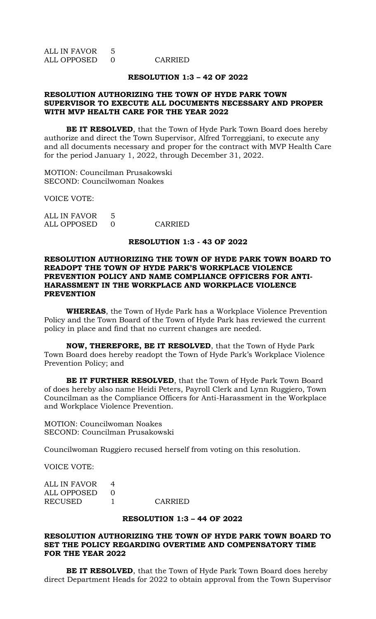ALL IN FAVOR 5 ALL OPPOSED 0 CARRIED

#### **RESOLUTION 1:3 – 42 OF 2022**

## **RESOLUTION AUTHORIZING THE TOWN OF HYDE PARK TOWN SUPERVISOR TO EXECUTE ALL DOCUMENTS NECESSARY AND PROPER WITH MVP HEALTH CARE FOR THE YEAR 2022**

**BE IT RESOLVED**, that the Town of Hyde Park Town Board does hereby authorize and direct the Town Supervisor, Alfred Torreggiani, to execute any and all documents necessary and proper for the contract with MVP Health Care for the period January 1, 2022, through December 31, 2022.

MOTION: Councilman Prusakowski SECOND: Councilwoman Noakes

VOICE VOTE:

ALL IN FAVOR 5 ALL OPPOSED 0 CARRIED

#### **RESOLUTION 1:3 - 43 OF 2022**

## **RESOLUTION AUTHORIZING THE TOWN OF HYDE PARK TOWN BOARD TO READOPT THE TOWN OF HYDE PARK'S WORKPLACE VIOLENCE PREVENTION POLICY AND NAME COMPLIANCE OFFICERS FOR ANTI-HARASSMENT IN THE WORKPLACE AND WORKPLACE VIOLENCE PREVENTION**

**WHEREAS**, the Town of Hyde Park has a Workplace Violence Prevention Policy and the Town Board of the Town of Hyde Park has reviewed the current policy in place and find that no current changes are needed.

**NOW, THEREFORE, BE IT RESOLVED**, that the Town of Hyde Park Town Board does hereby readopt the Town of Hyde Park's Workplace Violence Prevention Policy; and

**BE IT FURTHER RESOLVED**, that the Town of Hyde Park Town Board of does hereby also name Heidi Peters, Payroll Clerk and Lynn Ruggiero, Town Councilman as the Compliance Officers for Anti-Harassment in the Workplace and Workplace Violence Prevention.

MOTION: Councilwoman Noakes SECOND: Councilman Prusakowski

Councilwoman Ruggiero recused herself from voting on this resolution.

VOICE VOTE:

| CARRIED       |
|---------------|
| ALL OPPOSED 0 |

#### **RESOLUTION 1:3 – 44 OF 2022**

# **RESOLUTION AUTHORIZING THE TOWN OF HYDE PARK TOWN BOARD TO SET THE POLICY REGARDING OVERTIME AND COMPENSATORY TIME FOR THE YEAR 2022**

**BE IT RESOLVED**, that the Town of Hyde Park Town Board does hereby direct Department Heads for 2022 to obtain approval from the Town Supervisor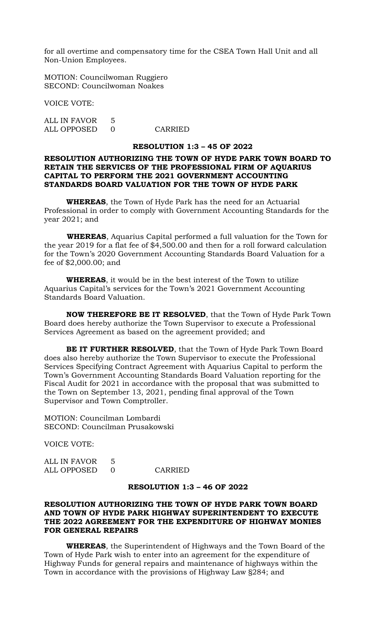for all overtime and compensatory time for the CSEA Town Hall Unit and all Non-Union Employees.

MOTION: Councilwoman Ruggiero SECOND: Councilwoman Noakes

VOICE VOTE:

ALL IN FAVOR 5 ALL OPPOSED 0 CARRIED

#### **RESOLUTION 1:3 – 45 OF 2022**

# **RESOLUTION AUTHORIZING THE TOWN OF HYDE PARK TOWN BOARD TO RETAIN THE SERVICES OF THE PROFESSIONAL FIRM OF AQUARIUS CAPITAL TO PERFORM THE 2021 GOVERNMENT ACCOUNTING STANDARDS BOARD VALUATION FOR THE TOWN OF HYDE PARK**

**WHEREAS**, the Town of Hyde Park has the need for an Actuarial Professional in order to comply with Government Accounting Standards for the year 2021; and

 **WHEREAS**, Aquarius Capital performed a full valuation for the Town for the year 2019 for a flat fee of \$4,500.00 and then for a roll forward calculation for the Town's 2020 Government Accounting Standards Board Valuation for a fee of \$2,000.00; and

**WHEREAS**, it would be in the best interest of the Town to utilize Aquarius Capital's services for the Town's 2021 Government Accounting Standards Board Valuation.

**NOW THEREFORE BE IT RESOLVED**, that the Town of Hyde Park Town Board does hereby authorize the Town Supervisor to execute a Professional Services Agreement as based on the agreement provided; and

**BE IT FURTHER RESOLVED**, that the Town of Hyde Park Town Board does also hereby authorize the Town Supervisor to execute the Professional Services Specifying Contract Agreement with Aquarius Capital to perform the Town's Government Accounting Standards Board Valuation reporting for the Fiscal Audit for 2021 in accordance with the proposal that was submitted to the Town on September 13, 2021, pending final approval of the Town Supervisor and Town Comptroller.

MOTION: Councilman Lombardi SECOND: Councilman Prusakowski

VOICE VOTE:

ALL IN FAVOR 5 ALL OPPOSED 0 CARRIED

## **RESOLUTION 1:3 – 46 OF 2022**

# **RESOLUTION AUTHORIZING THE TOWN OF HYDE PARK TOWN BOARD AND TOWN OF HYDE PARK HIGHWAY SUPERINTENDENT TO EXECUTE THE 2022 AGREEMENT FOR THE EXPENDITURE OF HIGHWAY MONIES FOR GENERAL REPAIRS**

**WHEREAS**, the Superintendent of Highways and the Town Board of the Town of Hyde Park wish to enter into an agreement for the expenditure of Highway Funds for general repairs and maintenance of highways within the Town in accordance with the provisions of Highway Law §284; and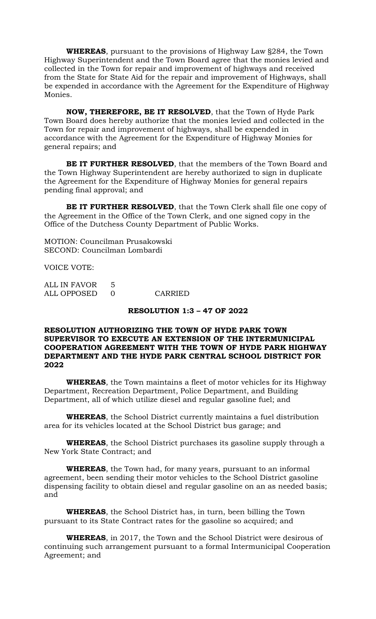**WHEREAS**, pursuant to the provisions of Highway Law §284, the Town Highway Superintendent and the Town Board agree that the monies levied and collected in the Town for repair and improvement of highways and received from the State for State Aid for the repair and improvement of Highways, shall be expended in accordance with the Agreement for the Expenditure of Highway Monies.

**NOW, THEREFORE, BE IT RESOLVED**, that the Town of Hyde Park Town Board does hereby authorize that the monies levied and collected in the Town for repair and improvement of highways, shall be expended in accordance with the Agreement for the Expenditure of Highway Monies for general repairs; and

**BE IT FURTHER RESOLVED**, that the members of the Town Board and the Town Highway Superintendent are hereby authorized to sign in duplicate the Agreement for the Expenditure of Highway Monies for general repairs pending final approval; and

**BE IT FURTHER RESOLVED**, that the Town Clerk shall file one copy of the Agreement in the Office of the Town Clerk, and one signed copy in the Office of the Dutchess County Department of Public Works.

MOTION: Councilman Prusakowski SECOND: Councilman Lombardi

VOICE VOTE:

| ALL IN FAVOR 5 |         |
|----------------|---------|
| ALL OPPOSED 0  | CARRIED |

#### **RESOLUTION 1:3 – 47 OF 2022**

## **RESOLUTION AUTHORIZING THE TOWN OF HYDE PARK TOWN SUPERVISOR TO EXECUTE AN EXTENSION OF THE INTERMUNICIPAL COOPERATION AGREEMENT WITH THE TOWN OF HYDE PARK HIGHWAY DEPARTMENT AND THE HYDE PARK CENTRAL SCHOOL DISTRICT FOR 2022**

**WHEREAS**, the Town maintains a fleet of motor vehicles for its Highway Department, Recreation Department, Police Department, and Building Department, all of which utilize diesel and regular gasoline fuel; and

**WHEREAS**, the School District currently maintains a fuel distribution area for its vehicles located at the School District bus garage; and

**WHEREAS**, the School District purchases its gasoline supply through a New York State Contract; and

**WHEREAS**, the Town had, for many years, pursuant to an informal agreement, been sending their motor vehicles to the School District gasoline dispensing facility to obtain diesel and regular gasoline on an as needed basis; and

**WHEREAS**, the School District has, in turn, been billing the Town pursuant to its State Contract rates for the gasoline so acquired; and

**WHEREAS**, in 2017, the Town and the School District were desirous of continuing such arrangement pursuant to a formal Intermunicipal Cooperation Agreement; and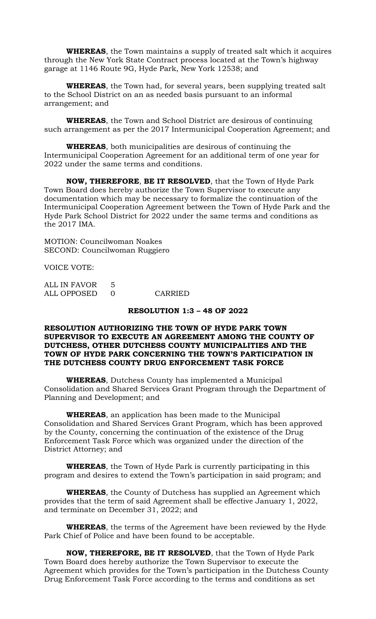**WHEREAS**, the Town maintains a supply of treated salt which it acquires through the New York State Contract process located at the Town's highway garage at 1146 Route 9G, Hyde Park, New York 12538; and

**WHEREAS**, the Town had, for several years, been supplying treated salt to the School District on an as needed basis pursuant to an informal arrangement; and

**WHEREAS**, the Town and School District are desirous of continuing such arrangement as per the 2017 Intermunicipal Cooperation Agreement; and

**WHEREAS**, both municipalities are desirous of continuing the Intermunicipal Cooperation Agreement for an additional term of one year for 2022 under the same terms and conditions.

**NOW, THEREFORE**, **BE IT RESOLVED**, that the Town of Hyde Park Town Board does hereby authorize the Town Supervisor to execute any documentation which may be necessary to formalize the continuation of the Intermunicipal Cooperation Agreement between the Town of Hyde Park and the Hyde Park School District for 2022 under the same terms and conditions as the 2017 IMA.

MOTION: Councilwoman Noakes SECOND: Councilwoman Ruggiero

VOICE VOTE:

| ALL IN FAVOR 5 |         |
|----------------|---------|
| ALL OPPOSED    | CARRIED |

#### **RESOLUTION 1:3 – 48 OF 2022**

## **RESOLUTION AUTHORIZING THE TOWN OF HYDE PARK TOWN SUPERVISOR TO EXECUTE AN AGREEMENT AMONG THE COUNTY OF DUTCHESS, OTHER DUTCHESS COUNTY MUNICIPALITIES AND THE TOWN OF HYDE PARK CONCERNING THE TOWN'S PARTICIPATION IN THE DUTCHESS COUNTY DRUG ENFORCEMENT TASK FORCE**

**WHEREAS**, Dutchess County has implemented a Municipal Consolidation and Shared Services Grant Program through the Department of Planning and Development; and

**WHEREAS**, an application has been made to the Municipal Consolidation and Shared Services Grant Program, which has been approved by the County, concerning the continuation of the existence of the Drug Enforcement Task Force which was organized under the direction of the District Attorney; and

**WHEREAS**, the Town of Hyde Park is currently participating in this program and desires to extend the Town's participation in said program; and

**WHEREAS**, the County of Dutchess has supplied an Agreement which provides that the term of said Agreement shall be effective January 1, 2022, and terminate on December 31, 2022; and

**WHEREAS**, the terms of the Agreement have been reviewed by the Hyde Park Chief of Police and have been found to be acceptable.

**NOW, THEREFORE, BE IT RESOLVED**, that the Town of Hyde Park Town Board does hereby authorize the Town Supervisor to execute the Agreement which provides for the Town's participation in the Dutchess County Drug Enforcement Task Force according to the terms and conditions as set